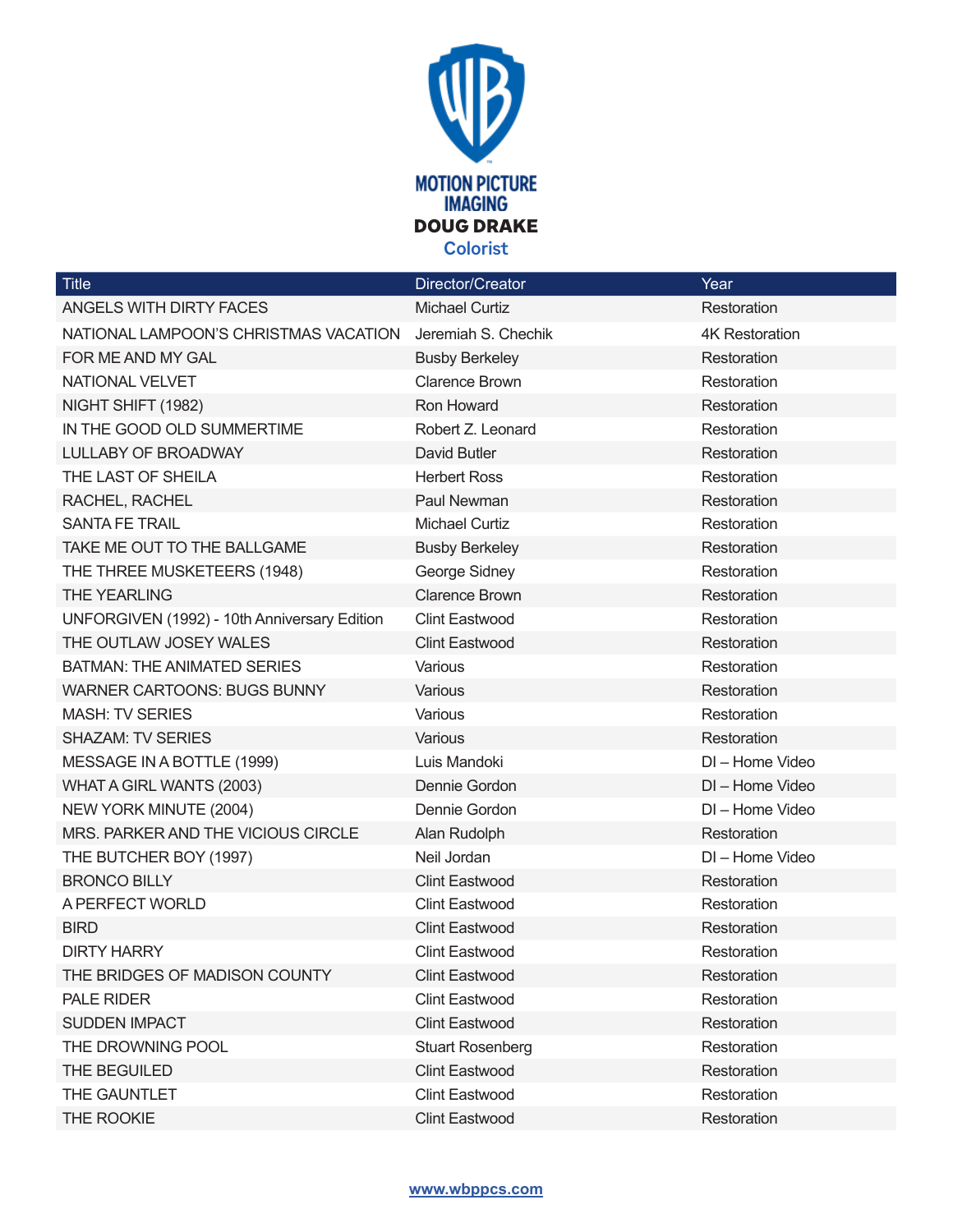

| <b>Title</b>                                 | Director/Creator        | Year                  |
|----------------------------------------------|-------------------------|-----------------------|
| ANGELS WITH DIRTY FACES                      | <b>Michael Curtiz</b>   | Restoration           |
| NATIONAL LAMPOON'S CHRISTMAS VACATION        | Jeremiah S. Chechik     | <b>4K Restoration</b> |
| FOR ME AND MY GAL                            | <b>Busby Berkeley</b>   | Restoration           |
| NATIONAL VELVET                              | <b>Clarence Brown</b>   | Restoration           |
| NIGHT SHIFT (1982)                           | Ron Howard              | Restoration           |
| IN THE GOOD OLD SUMMERTIME                   | Robert Z. Leonard       | Restoration           |
| LULLABY OF BROADWAY                          | David Butler            | Restoration           |
| THE LAST OF SHEILA                           | <b>Herbert Ross</b>     | Restoration           |
| RACHEL, RACHEL                               | Paul Newman             | Restoration           |
| <b>SANTA FE TRAIL</b>                        | <b>Michael Curtiz</b>   | Restoration           |
| TAKE ME OUT TO THE BALLGAME                  | <b>Busby Berkeley</b>   | Restoration           |
| THE THREE MUSKETEERS (1948)                  | George Sidney           | Restoration           |
| <b>THE YEARLING</b>                          | <b>Clarence Brown</b>   | Restoration           |
| UNFORGIVEN (1992) - 10th Anniversary Edition | <b>Clint Eastwood</b>   | Restoration           |
| THE OUTLAW JOSEY WALES                       | <b>Clint Eastwood</b>   | Restoration           |
| <b>BATMAN: THE ANIMATED SERIES</b>           | Various                 | Restoration           |
| <b>WARNER CARTOONS: BUGS BUNNY</b>           | Various                 | Restoration           |
| <b>MASH: TV SERIES</b>                       | Various                 | Restoration           |
| <b>SHAZAM: TV SERIES</b>                     | Various                 | Restoration           |
| MESSAGE IN A BOTTLE (1999)                   | Luis Mandoki            | DI - Home Video       |
| WHAT A GIRL WANTS (2003)                     | Dennie Gordon           | DI - Home Video       |
| NEW YORK MINUTE (2004)                       | Dennie Gordon           | DI - Home Video       |
| MRS. PARKER AND THE VICIOUS CIRCLE           | Alan Rudolph            | Restoration           |
| THE BUTCHER BOY (1997)                       | Neil Jordan             | DI - Home Video       |
| <b>BRONCO BILLY</b>                          | <b>Clint Eastwood</b>   | Restoration           |
| A PERFECT WORLD                              | <b>Clint Eastwood</b>   | Restoration           |
| <b>BIRD</b>                                  | <b>Clint Eastwood</b>   | Restoration           |
| <b>DIRTY HARRY</b>                           | <b>Clint Eastwood</b>   | Restoration           |
| THE BRIDGES OF MADISON COUNTY                | <b>Clint Eastwood</b>   | Restoration           |
| PALE RIDER                                   | <b>Clint Eastwood</b>   | Restoration           |
| <b>SUDDEN IMPACT</b>                         | <b>Clint Eastwood</b>   | Restoration           |
| THE DROWNING POOL                            | <b>Stuart Rosenberg</b> | Restoration           |
| THE BEGUILED                                 | <b>Clint Eastwood</b>   | Restoration           |
| THE GAUNTLET                                 | <b>Clint Eastwood</b>   | Restoration           |
| THE ROOKIE                                   | <b>Clint Eastwood</b>   | Restoration           |